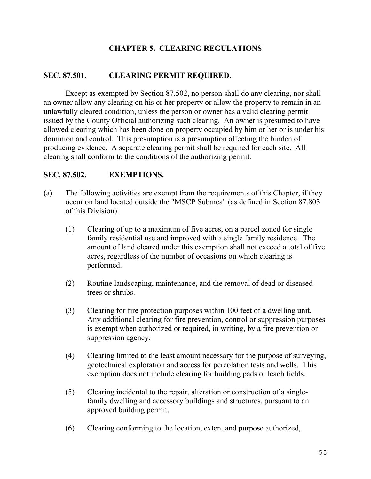# **CHAPTER 5. CLEARING REGULATIONS**

## **SEC. 87.501. CLEARING PERMIT REQUIRED.**

Except as exempted by Section 87.502, no person shall do any clearing, nor shall an owner allow any clearing on his or her property or allow the property to remain in an unlawfully cleared condition, unless the person or owner has a valid clearing permit issued by the County Official authorizing such clearing. An owner is presumed to have allowed clearing which has been done on property occupied by him or her or is under his dominion and control. This presumption is a presumption affecting the burden of producing evidence. A separate clearing permit shall be required for each site. All clearing shall conform to the conditions of the authorizing permit.

### **SEC. 87.502. EXEMPTIONS.**

- (a) The following activities are exempt from the requirements of this Chapter, if they occur on land located outside the "MSCP Subarea" (as defined in Section 87.803 of this Division):
	- (1) Clearing of up to a maximum of five acres, on a parcel zoned for single family residential use and improved with a single family residence. The amount of land cleared under this exemption shall not exceed a total of five acres, regardless of the number of occasions on which clearing is performed.
	- (2) Routine landscaping, maintenance, and the removal of dead or diseased trees or shrubs.
	- (3) Clearing for fire protection purposes within 100 feet of a dwelling unit. Any additional clearing for fire prevention, control or suppression purposes is exempt when authorized or required, in writing, by a fire prevention or suppression agency.
	- (4) Clearing limited to the least amount necessary for the purpose of surveying, geotechnical exploration and access for percolation tests and wells. This exemption does not include clearing for building pads or leach fields.
	- (5) Clearing incidental to the repair, alteration or construction of a singlefamily dwelling and accessory buildings and structures, pursuant to an approved building permit.
	- (6) Clearing conforming to the location, extent and purpose authorized,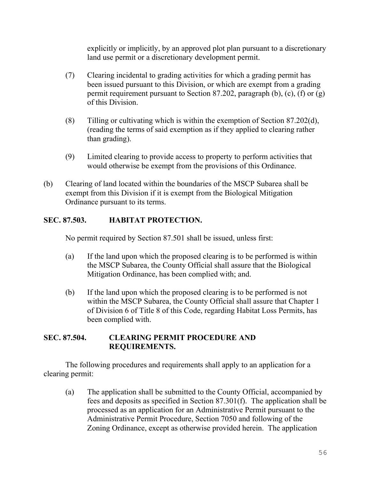explicitly or implicitly, by an approved plot plan pursuant to a discretionary land use permit or a discretionary development permit.

- (7) Clearing incidental to grading activities for which a grading permit has been issued pursuant to this Division, or which are exempt from a grading permit requirement pursuant to Section 87.202, paragraph (b), (c), (f) or (g) of this Division.
- (8) Tilling or cultivating which is within the exemption of Section 87.202(d), (reading the terms of said exemption as if they applied to clearing rather than grading).
- (9) Limited clearing to provide access to property to perform activities that would otherwise be exempt from the provisions of this Ordinance.
- (b) Clearing of land located within the boundaries of the MSCP Subarea shall be exempt from this Division if it is exempt from the Biological Mitigation Ordinance pursuant to its terms.

# **SEC. 87.503. HABITAT PROTECTION.**

No permit required by Section 87.501 shall be issued, unless first:

- (a) If the land upon which the proposed clearing is to be performed is within the MSCP Subarea, the County Official shall assure that the Biological Mitigation Ordinance, has been complied with; and.
- (b) If the land upon which the proposed clearing is to be performed is not within the MSCP Subarea, the County Official shall assure that Chapter 1 of Division 6 of Title 8 of this Code, regarding Habitat Loss Permits, has been complied with.

## **SEC. 87.504. CLEARING PERMIT PROCEDURE AND REQUIREMENTS.**

The following procedures and requirements shall apply to an application for a clearing permit:

(a) The application shall be submitted to the County Official, accompanied by fees and deposits as specified in Section 87.301(f). The application shall be processed as an application for an Administrative Permit pursuant to the Administrative Permit Procedure, Section 7050 and following of the Zoning Ordinance, except as otherwise provided herein. The application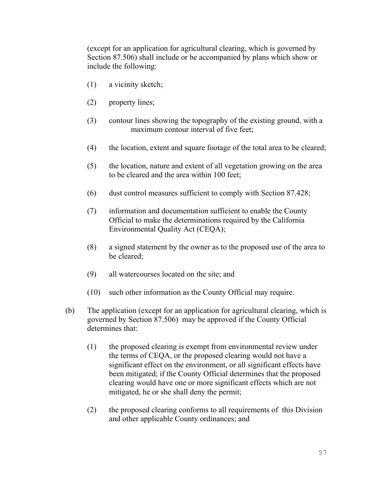(except for an application for agricultural clearing, which is governed by Section 87.506) shall include or be accompanied by plans which show or include the following:

- (1) a vicinity sketch;
- (2) property lines;
- (3) contour lines showing the topography of the existing ground, with a maximum contour interval of five feet;
- (4) the location, extent and square footage of the total area to be cleared;
- (5) the location, nature and extent of all vegetation growing on the area to be cleared and the area within 100 feet;
- (6) dust control measures sufficient to comply with Section 87.428;
- (7) information and documentation sufficient to enable the County Official to make the determinations required by the California Environmental Quality Act (CEQA);
- (8) a signed statement by the owner as to the proposed use of the area to be cleared;
- (9) all watercourses located on the site; and
- (10) such other information as the County Official may require.
- (b) The application (except for an application for agricultural clearing, which is governed by Section 87.506) may be approved if the County Official determines that:
	- (1) the proposed clearing is exempt from environmental review under the terms of CEQA, or the proposed clearing would not have a significant effect on the environment, or all significant effects have been mitigated; if the County Official determines that the proposed clearing would have one or more significant effects which are not mitigated, he or she shall deny the permit;
	- (2) the proposed clearing conforms to all requirements of this Division and other applicable County ordinances; and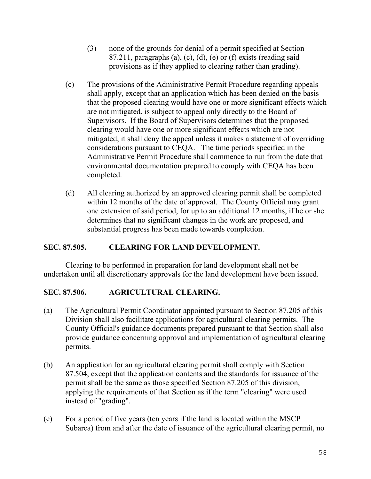- (3) none of the grounds for denial of a permit specified at Section 87.211, paragraphs (a), (c), (d), (e) or (f) exists (reading said provisions as if they applied to clearing rather than grading).
- (c) The provisions of the Administrative Permit Procedure regarding appeals shall apply, except that an application which has been denied on the basis that the proposed clearing would have one or more significant effects which are not mitigated, is subject to appeal only directly to the Board of Supervisors. If the Board of Supervisors determines that the proposed clearing would have one or more significant effects which are not mitigated, it shall deny the appeal unless it makes a statement of overriding considerations pursuant to CEQA. The time periods specified in the Administrative Permit Procedure shall commence to run from the date that environmental documentation prepared to comply with CEQA has been completed.
- (d) All clearing authorized by an approved clearing permit shall be completed within 12 months of the date of approval. The County Official may grant one extension of said period, for up to an additional 12 months, if he or she determines that no significant changes in the work are proposed, and substantial progress has been made towards completion.

## **SEC. 87.505. CLEARING FOR LAND DEVELOPMENT.**

Clearing to be performed in preparation for land development shall not be undertaken until all discretionary approvals for the land development have been issued.

# **SEC. 87.506. AGRICULTURAL CLEARING.**

- (a) The Agricultural Permit Coordinator appointed pursuant to Section 87.205 of this Division shall also facilitate applications for agricultural clearing permits. The County Official's guidance documents prepared pursuant to that Section shall also provide guidance concerning approval and implementation of agricultural clearing permits.
- (b) An application for an agricultural clearing permit shall comply with Section 87.504, except that the application contents and the standards for issuance of the permit shall be the same as those specified Section 87.205 of this division, applying the requirements of that Section as if the term "clearing" were used instead of "grading".
- (c) For a period of five years (ten years if the land is located within the MSCP Subarea) from and after the date of issuance of the agricultural clearing permit, no